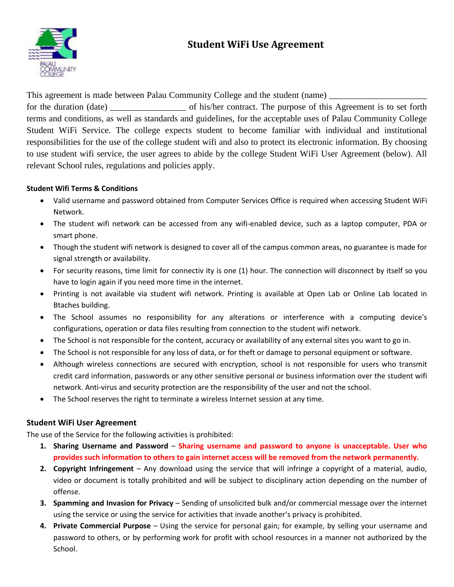# **Student WiFi Use Agreement**



This agreement is made between Palau Community College and the student (name) for the duration (date) \_\_\_\_\_\_\_\_\_\_\_\_\_\_\_\_\_\_\_ of his/her contract. The purpose of this Agreement is to set forth terms and conditions, as well as standards and guidelines, for the acceptable uses of Palau Community College Student WiFi Service. The college expects student to become familiar with individual and institutional responsibilities for the use of the college student wifi and also to protect its electronic information. By choosing to use student wifi service, the user agrees to abide by the college Student WiFi User Agreement (below). All relevant School rules, regulations and policies apply.

## **Student Wifi Terms & Conditions**

- Valid username and password obtained from Computer Services Office is required when accessing Student WiFi Network.
- The student wifi network can be accessed from any wifi-enabled device, such as a laptop computer, PDA or smart phone.
- Though the student wifi network is designed to cover all of the campus common areas, no guarantee is made for signal strength or availability.
- For security reasons, time limit for connectiv ity is one (1) hour. The connection will disconnect by itself so you have to login again if you need more time in the internet.
- Printing is not available via student wifi network. Printing is available at Open Lab or Online Lab located in Btaches building.
- The School assumes no responsibility for any alterations or interference with a computing device's configurations, operation or data files resulting from connection to the student wifi network.
- The School is not responsible for the content, accuracy or availability of any external sites you want to go in.
- The School is not responsible for any loss of data, or for theft or damage to personal equipment or software.
- Although wireless connections are secured with encryption, school is not responsible for users who transmit credit card information, passwords or any other sensitive personal or business information over the student wifi network. Anti-virus and security protection are the responsibility of the user and not the school.
- The School reserves the right to terminate a wireless Internet session at any time.

## **Student WiFi User Agreement**

The use of the Service for the following activities is prohibited:

- **1. Sharing Username and Password Sharing username and password to anyone is unacceptable. User who provides such information to others to gain internet access will be removed from the network permanently.**
- **2. Copyright Infringement** Any download using the service that will infringe a copyright of a material, audio, video or document is totally prohibited and will be subject to disciplinary action depending on the number of offense.
- **3. Spamming and Invasion for Privacy** Sending of unsolicited bulk and/or commercial message over the internet using the service or using the service for activities that invade another's privacy is prohibited.
- **4. Private Commercial Purpose** Using the service for personal gain; for example, by selling your username and password to others, or by performing work for profit with school resources in a manner not authorized by the School.